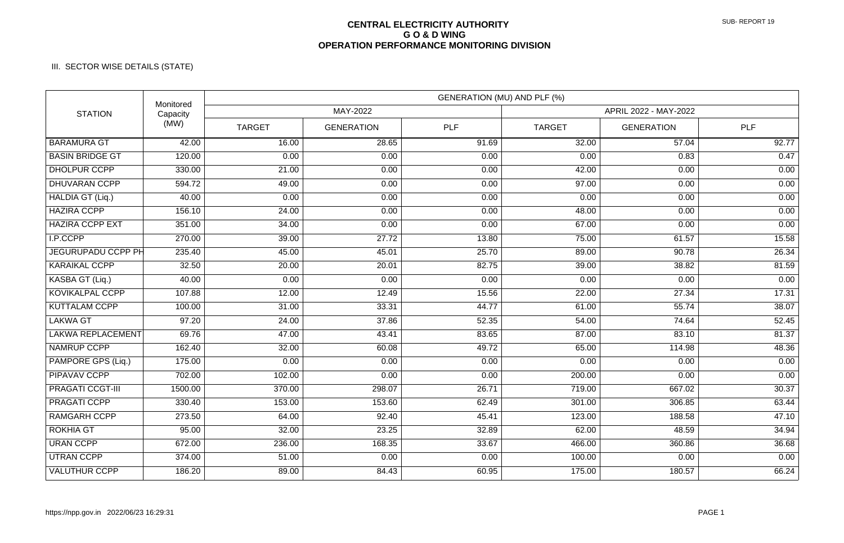## **CENTRAL ELECTRICITY AUTHORITY G O & D WING OPERATION PERFORMANCE MONITORING DIVISION**

## III. SECTOR WISE DETAILS (STATE)

| <b>STATION</b>           | Monitored<br>Capacity<br>(MW) | GENERATION (MU) AND PLF (%) |                   |       |                       |                   |                    |  |
|--------------------------|-------------------------------|-----------------------------|-------------------|-------|-----------------------|-------------------|--------------------|--|
|                          |                               | MAY-2022                    |                   |       | APRIL 2022 - MAY-2022 |                   |                    |  |
|                          |                               | <b>TARGET</b>               | <b>GENERATION</b> | PLF   | <b>TARGET</b>         | <b>GENERATION</b> | PLF                |  |
| <b>BARAMURA GT</b>       | 42.00                         | 16.00                       | 28.65             | 91.69 | 32.00                 | 57.04             | 92.77              |  |
| <b>BASIN BRIDGE GT</b>   | 120.00                        | 0.00                        | 0.00              | 0.00  | 0.00                  | 0.83              | 0.47               |  |
| <b>DHOLPUR CCPP</b>      | 330.00                        | 21.00                       | 0.00              | 0.00  | 42.00                 | 0.00              | 0.00               |  |
| <b>DHUVARAN CCPP</b>     | 594.72                        | 49.00                       | 0.00              | 0.00  | 97.00                 | 0.00              | 0.00               |  |
| HALDIA GT (Liq.)         | 40.00                         | 0.00                        | 0.00              | 0.00  | 0.00                  | 0.00              | 0.00               |  |
| <b>HAZIRA CCPP</b>       | 156.10                        | 24.00                       | 0.00              | 0.00  | 48.00                 | 0.00              | 0.00               |  |
| <b>HAZIRA CCPP EXT</b>   | 351.00                        | 34.00                       | 0.00              | 0.00  | 67.00                 | 0.00              | 0.00               |  |
| I.P.CCPP                 | 270.00                        | 39.00                       | 27.72             | 13.80 | 75.00                 | 61.57             | 15.58              |  |
| JEGURUPADU CCPP PH       | 235.40                        | 45.00                       | 45.01             | 25.70 | 89.00                 | 90.78             | 26.34              |  |
| <b>KARAIKAL CCPP</b>     | 32.50                         | 20.00                       | 20.01             | 82.75 | 39.00                 | 38.82             | 81.59              |  |
| KASBA GT (Liq.)          | 40.00                         | 0.00                        | 0.00              | 0.00  | 0.00                  | 0.00              | 0.00               |  |
| <b>KOVIKALPAL CCPP</b>   | 107.88                        | 12.00                       | 12.49             | 15.56 | 22.00                 | 27.34             | 17.31              |  |
| <b>KUTTALAM CCPP</b>     | 100.00                        | 31.00                       | 33.31             | 44.77 | 61.00                 | 55.74             | 38.07              |  |
| <b>LAKWA GT</b>          | 97.20                         | 24.00                       | 37.86             | 52.35 | 54.00                 | 74.64             | 52.45              |  |
| <b>LAKWA REPLACEMENT</b> | 69.76                         | 47.00                       | 43.41             | 83.65 | 87.00                 | 83.10             | 81.37              |  |
| NAMRUP CCPP              | 162.40                        | 32.00                       | 60.08             | 49.72 | 65.00                 | 114.98            | 48.36              |  |
| PAMPORE GPS (Liq.)       | 175.00                        | 0.00                        | 0.00              | 0.00  | 0.00                  | 0.00              | 0.00               |  |
| <b>PIPAVAV CCPP</b>      | 702.00                        | 102.00                      | 0.00              | 0.00  | 200.00                | 0.00              | 0.00               |  |
| <b>PRAGATI CCGT-III</b>  | 1500.00                       | 370.00                      | 298.07            | 26.71 | 719.00                | 667.02            | $\overline{30.37}$ |  |
| <b>PRAGATI CCPP</b>      | 330.40                        | 153.00                      | 153.60            | 62.49 | 301.00                | 306.85            | 63.44              |  |
| <b>RAMGARH CCPP</b>      | 273.50                        | 64.00                       | 92.40             | 45.41 | 123.00                | 188.58            | 47.10              |  |
| <b>ROKHIA GT</b>         | 95.00                         | 32.00                       | 23.25             | 32.89 | 62.00                 | 48.59             | 34.94              |  |
| <b>URAN CCPP</b>         | 672.00                        | 236.00                      | 168.35            | 33.67 | 466.00                | 360.86            | 36.68              |  |
| <b>UTRAN CCPP</b>        | 374.00                        | 51.00                       | 0.00              | 0.00  | 100.00                | 0.00              | 0.00               |  |
| <b>VALUTHUR CCPP</b>     | 186.20                        | 89.00                       | 84.43             | 60.95 | 175.00                | 180.57            | 66.24              |  |